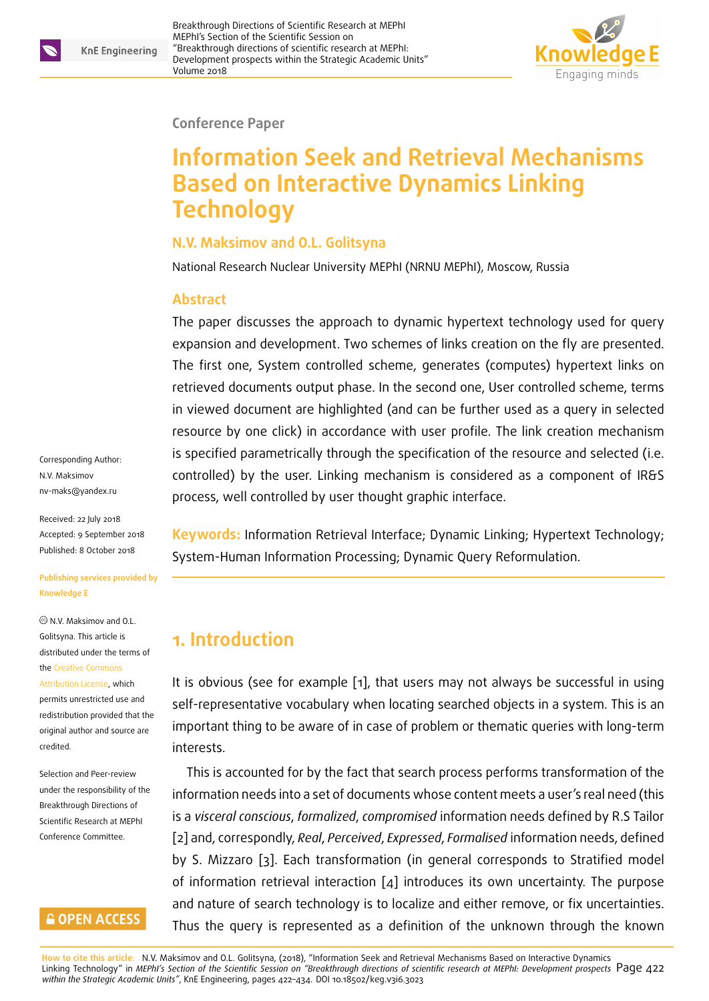

#### **Conference Paper**

# **Information Seek and Retrieval Mechanisms Based on Interactive Dynamics Linking Technology**

#### **N.V. Maksimov and O.L. Golitsyna**

National Research Nuclear University MEPhI (NRNU MEPhI), Moscow, Russia

#### **Abstract**

The paper discusses the approach to dynamic hypertext technology used for query expansion and development. Two schemes of links creation on the fly are presented. The first one, System controlled scheme, generates (computes) hypertext links on retrieved documents output phase. In the second one, User controlled scheme, terms in viewed document are highlighted (and can be further used as a query in selected resource by one click) in accordance with user profile. The link creation mechanism is specified parametrically through the specification of the resource and selected (i.e. controlled) by the user. Linking mechanism is considered as a component of IR&S process, well controlled by user thought graphic interface.

Corresponding Author: N.V. Maksimov nv-maks@yandex.ru

Received: 22 July 2018 Accepted: 9 September 2018 [Published: 8 October](mailto:nv-maks@yandex.ru) 2018

#### **Publishing services provided by Knowledge E**

N.V. Maksimov and O.L. Golitsyna. This article is distributed under the terms of the Creative Commons

Attribution License, which permits unrestricted use and redistribution provided that the ori[ginal author and sou](https://creativecommons.org/licenses/by/4.0/)rce are [credited.](https://creativecommons.org/licenses/by/4.0/)

Selection and Peer-review under the responsibility of the Breakthrough Directions of Scientific Research at MEPhI Conference Committee.

### **GOPEN ACCESS**

**Keywords:** Information Retrieval Interface; Dynamic Linking; Hypertext Technology; System-Human Information Processing; Dynamic Query Reformulation.

# **1. Introduction**

It is obvious (see for example [1], that users may not always be successful in using self-representative vocabulary when locating searched objects in a system. This is an important thing to be aware ofi[n](#page-11-0) case of problem or thematic queries with long-term interests.

This is accounted for by the fact that search process performs transformation of the information needs into a set of documents whose content meets a user's real need (this is a *visceral conscious*, *formalized*, *compromised* information needs defined by R.S Tailor [2] and, correspondly, *Real*, *Perceived*, *Expressed*, *Formalised* information needs, defined by S. Mizzaro [3]. Each transformation (in general corresponds to Stratified model of information retrieval interaction [4] introduces its own uncertainty. The purpose [an](#page-11-1)d nature of search technology is to localize and either remove, or fix uncertainties. Thus the quer[y i](#page-11-2)s represented as a [d](#page-11-3)efinition of the unknown through the known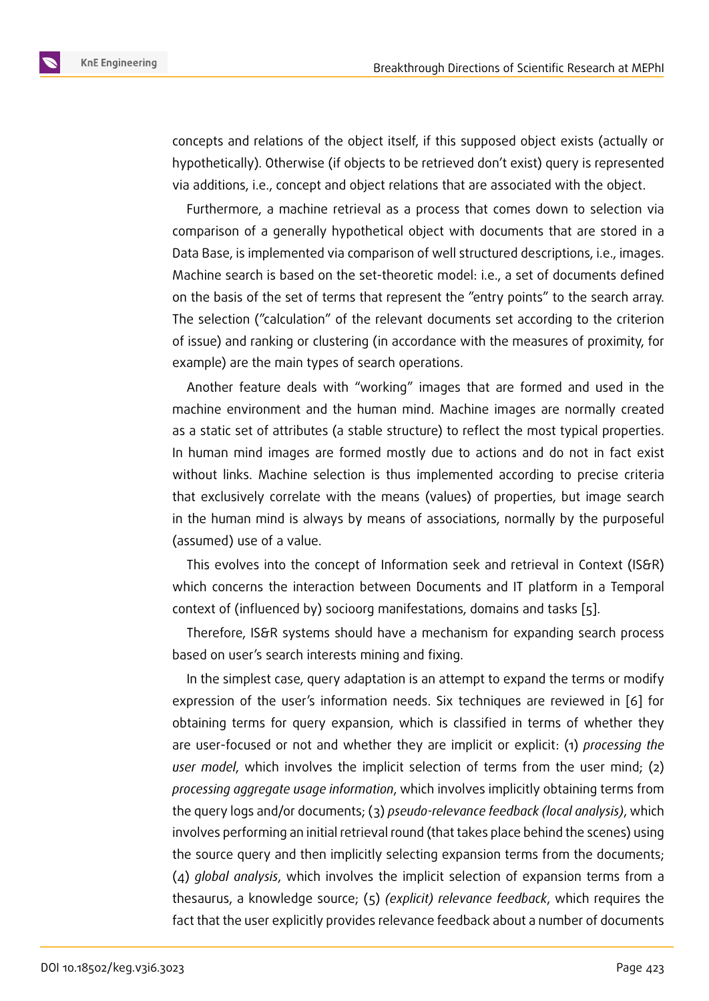concepts and relations of the object itself, if this supposed object exists (actually or hypothetically). Otherwise (if objects to be retrieved don't exist) query is represented via additions, i.e., concept and object relations that are associated with the object.

Furthermore, a machine retrieval as a process that comes down to selection via comparison of a generally hypothetical object with documents that are stored in a Data Base, is implemented via comparison of well structured descriptions, i.e., images. Machine search is based on the set-theoretic model: i.e., a set of documents defined on the basis of the set of terms that represent the "entry points" to the search array. The selection ("calculation" of the relevant documents set according to the criterion of issue) and ranking or clustering (in accordance with the measures of proximity, for example) are the main types of search operations.

Another feature deals with "working" images that are formed and used in the machine environment and the human mind. Machine images are normally created as a static set of attributes (a stable structure) to reflect the most typical properties. In human mind images are formed mostly due to actions and do not in fact exist without links. Machine selection is thus implemented according to precise criteria that exclusively correlate with the means (values) of properties, but image search in the human mind is always by means of associations, normally by the purposeful (assumed) use of a value.

This evolves into the concept of Information seek and retrieval in Context (IS&R) which concerns the interaction between Documents and IT platform in a Temporal context of (influenced by) socioorg manifestations, domains and tasks [5].

Therefore, IS&R systems should have a mechanism for expanding search process based on user's search interests mining and fixing.

In the simplest case, query adaptation is an attempt to expand the te[rm](#page-11-4)s or modify expression of the user's information needs. Six techniques are reviewed in [6] for obtaining terms for query expansion, which is classified in terms of whether they are user-focused or not and whether they are implicit or explicit: (1) *processing the user model*, which involves the implicit selection of terms from the user mi[nd](#page-11-5); (2) *processing aggregate usage information*, which involves implicitly obtaining terms from the query logs and/or documents; (3) *pseudo-relevance feedback (local analysis)*, which involves performing an initial retrieval round (that takes place behind the scenes) using the source query and then implicitly selecting expansion terms from the documents; (4) *global analysis*, which involves the implicit selection of expansion terms from a thesaurus, a knowledge source; (5) *(explicit) relevance feedback*, which requires the fact that the user explicitly provides relevance feedback about a number of documents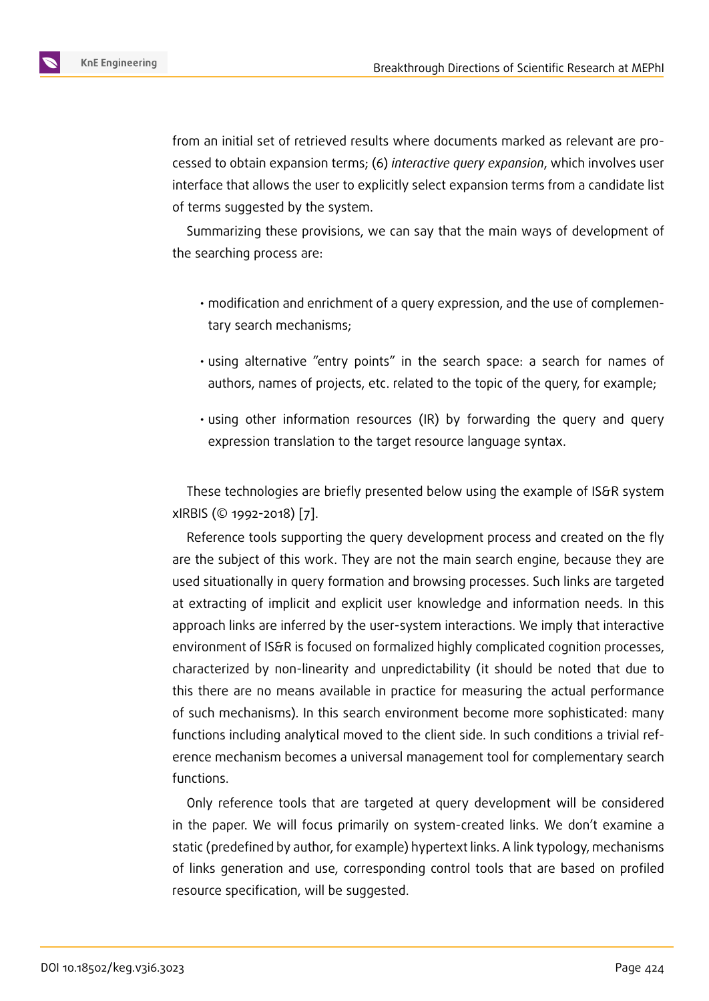from an initial set of retrieved results where documents marked as relevant are processed to obtain expansion terms; (6) *interactive query expansion*, which involves user interface that allows the user to explicitly select expansion terms from a candidate list of terms suggested by the system.

Summarizing these provisions, we can say that the main ways of development of the searching process are:

- modification and enrichment of a query expression, and the use of complementary search mechanisms;
- using alternative "entry points" in the search space: a search for names of authors, names of projects, etc. related to the topic of the query, for example;
- using other information resources (IR) by forwarding the query and query expression translation to the target resource language syntax.

These technologies are briefly presented below using the example of IS&R system xIRBIS (© 1992-2018) [7].

Reference tools supporting the query development process and created on the fly are the subject of this work. They are not the main search engine, because they are used situationally in q[ue](#page-11-6)ry formation and browsing processes. Such links are targeted at extracting of implicit and explicit user knowledge and information needs. In this approach links are inferred by the user-system interactions. We imply that interactive environment of IS&R is focused on formalized highly complicated cognition processes, characterized by non-linearity and unpredictability (it should be noted that due to this there are no means available in practice for measuring the actual performance of such mechanisms). In this search environment become more sophisticated: many functions including analytical moved to the client side. In such conditions a trivial reference mechanism becomes a universal management tool for complementary search functions.

Only reference tools that are targeted at query development will be considered in the paper. We will focus primarily on system-created links. We don't examine a static (predefined by author, for example) hypertext links. A link typology, mechanisms of links generation and use, corresponding control tools that are based on profiled resource specification, will be suggested.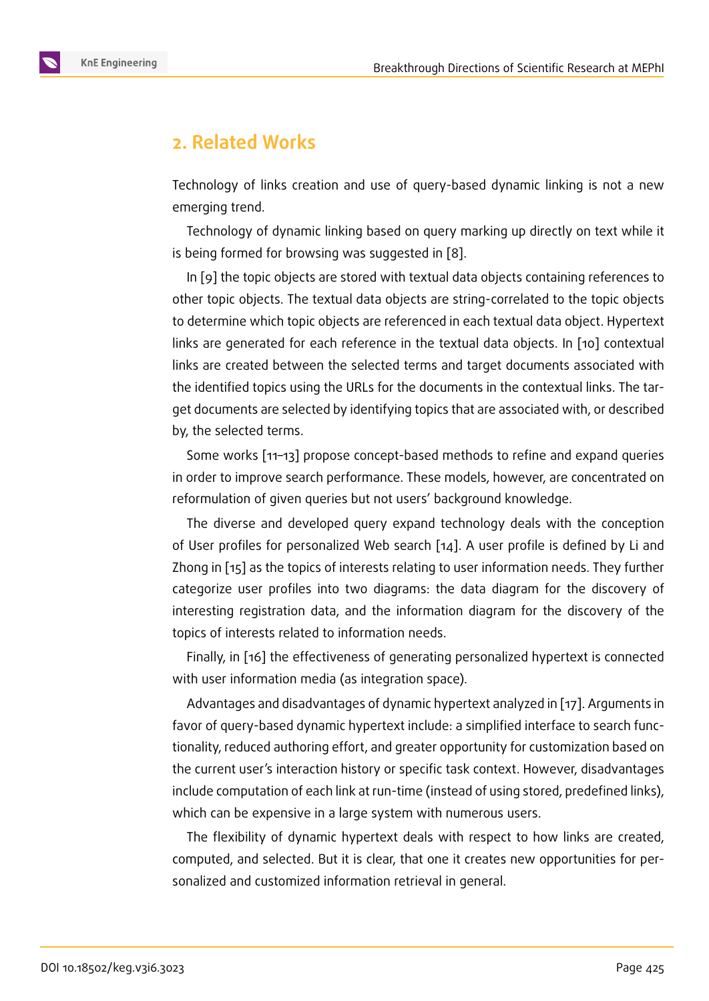# **2. Related Works**

Technology of links creation and use of query-based dynamic linking is not a new emerging trend.

Technology of dynamic linking based on query marking up directly on text while it is being formed for browsing was suggested in [8].

In [9] the topic objects are stored with textual data objects containing references to other topic objects. The textual data objects are string-correlated to the topic objects to determine which topic objects are referenced [in](#page-11-7) each textual data object. Hypertext links [ar](#page-11-8)e generated for each reference in the textual data objects. In [10] contextual links are created between the selected terms and target documents associated with the identified topics using the URLs for the documents in the contextual links. The target documents are selected by identifying topics that are associated wit[h, o](#page-11-9)r described by, the selected terms.

Some works [11–13] propose concept-based methods to refine and expand queries in order to improve search performance. These models, however, are concentrated on reformulation of given queries but not users' background knowledge.

The diverse [and](#page-11-10) [de](#page-11-11)veloped query expand technology deals with the conception of User profiles for personalized Web search [14]. A user profile is defined by Li and Zhong in [15] as the topics of interests relating to user information needs. They further categorize user profiles into two diagrams: the data diagram for the discovery of interesting registration data, and the inform[atio](#page-11-12)n diagram for the discovery of the topics ofi[nte](#page-12-0)rests related to information needs.

Finally, in [16] the effectiveness of generating personalized hypertext is connected with user information media (as integration space).

Advantages and disadvantages of dynamic hypertext analyzed in [17]. Arguments in favor of quer[y-b](#page-12-1)ased dynamic hypertext include: a simplified interface to search functionality, reduced authoring effort, and greater opportunity for customization based on the current user's interaction history or specific task context. Howev[er,](#page-12-2) disadvantages include computation of each link at run-time (instead of using stored, predefined links), which can be expensive in a large system with numerous users.

The flexibility of dynamic hypertext deals with respect to how links are created, computed, and selected. But it is clear, that one it creates new opportunities for personalized and customized information retrieval in general.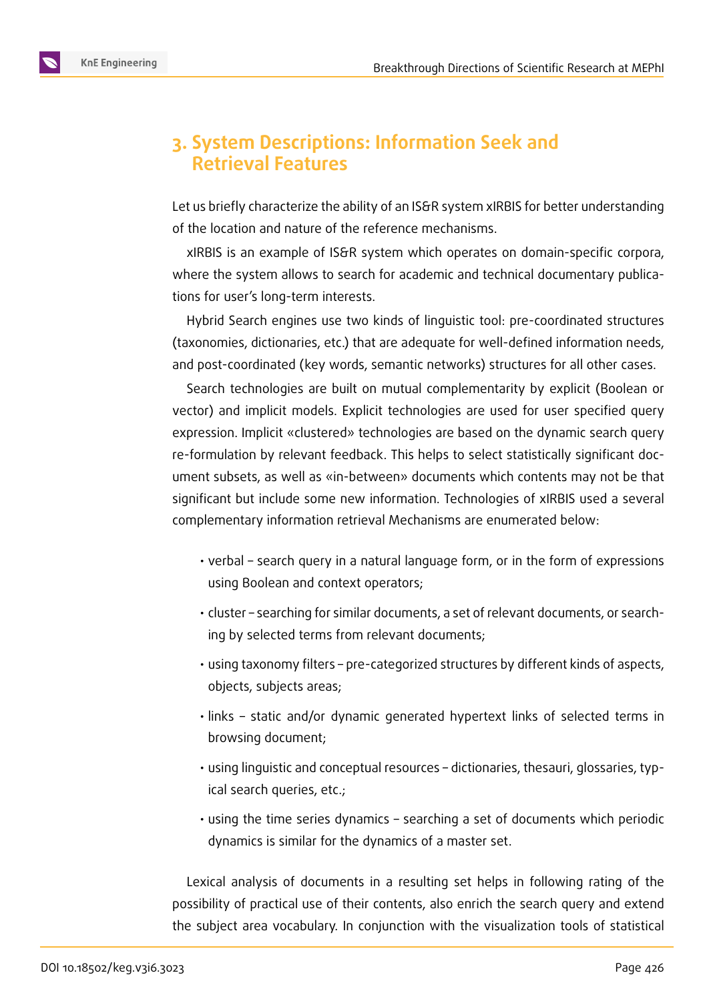

## **3. System Descriptions: Information Seek and Retrieval Features**

Let us briefly characterize the ability of an IS&R system xIRBIS for better understanding of the location and nature of the reference mechanisms.

xIRBIS is an example of IS&R system which operates on domain-specific corpora, where the system allows to search for academic and technical documentary publications for user's long-term interests.

Hybrid Search engines use two kinds of linguistic tool: pre-coordinated structures (taxonomies, dictionaries, etc.) that are adequate for well-defined information needs, and post-coordinated (key words, semantic networks) structures for all other cases.

Search technologies are built on mutual complementarity by explicit (Boolean or vector) and implicit models. Explicit technologies are used for user specified query expression. Implicit «clustered» technologies are based on the dynamic search query re-formulation by relevant feedback. This helps to select statistically significant document subsets, as well as «in-between» documents which contents may not be that significant but include some new information. Technologies of xIRBIS used a several complementary information retrieval Mechanisms are enumerated below:

- verbal search query in a natural language form, or in the form of expressions using Boolean and context operators;
- cluster searching for similar documents, a set of relevant documents, or searching by selected terms from relevant documents;
- using taxonomy filters pre-categorized structures by different kinds of aspects, objects, subjects areas;
- links static and/or dynamic generated hypertext links of selected terms in browsing document;
- using linguistic and conceptual resources dictionaries, thesauri, glossaries, typical search queries, etc.;
- using the time series dynamics searching a set of documents which periodic dynamics is similar for the dynamics of a master set.

Lexical analysis of documents in a resulting set helps in following rating of the possibility of practical use of their contents, also enrich the search query and extend the subject area vocabulary. In conjunction with the visualization tools of statistical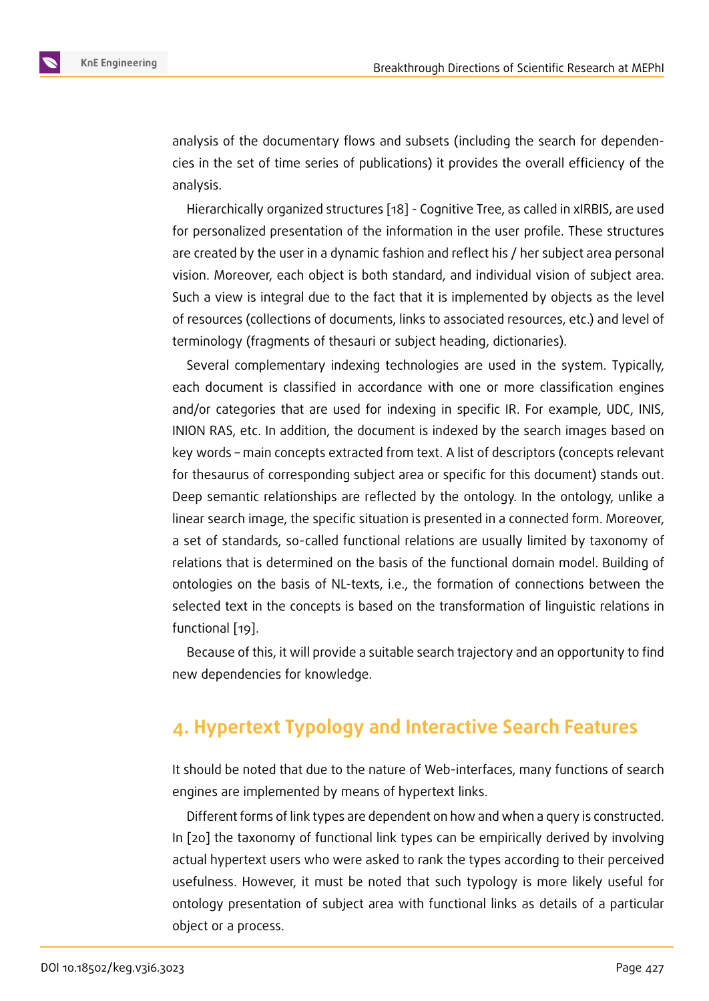analysis of the documentary flows and subsets (including the search for dependencies in the set of time series of publications) it provides the overall efficiency of the analysis.

Hierarchically organized structures [18] - Cognitive Tree, as called in xIRBIS, are used for personalized presentation of the information in the user profile. These structures are created by the user in a dynamic fashion and reflect his / her subject area personal vision. Moreover, each object is both [sta](#page-12-3)ndard, and individual vision of subject area. Such a view is integral due to the fact that it is implemented by objects as the level of resources (collections of documents, links to associated resources, etc.) and level of terminology (fragments of thesauri or subject heading, dictionaries).

Several complementary indexing technologies are used in the system. Typically, each document is classified in accordance with one or more classification engines and/or categories that are used for indexing in specific IR. For example, UDC, INIS, INION RAS, etc. In addition, the document is indexed by the search images based on key words – main concepts extracted from text. A list of descriptors (concepts relevant for thesaurus of corresponding subject area or specific for this document) stands out. Deep semantic relationships are reflected by the ontology. In the ontology, unlike a linear search image, the specific situation is presented in a connected form. Moreover, a set of standards, so-called functional relations are usually limited by taxonomy of relations that is determined on the basis of the functional domain model. Building of ontologies on the basis of NL-texts, i.e., the formation of connections between the selected text in the concepts is based on the transformation of linguistic relations in functional [19].

Because of this, it will provide a suitable search trajectory and an opportunity to find new depen[de](#page-12-4)ncies for knowledge.

## **4. Hypertext Typology and Interactive Search Features**

It should be noted that due to the nature of Web-interfaces, many functions of search engines are implemented by means of hypertext links.

Different forms of link types are dependent on how and when a query is constructed. In [20] the taxonomy of functional link types can be empirically derived by involving actual hypertext users who were asked to rank the types according to their perceived usefulness. However, it must be noted that such typology is more likely useful for ont[olo](#page-12-5)gy presentation of subject area with functional links as details of a particular object or a process.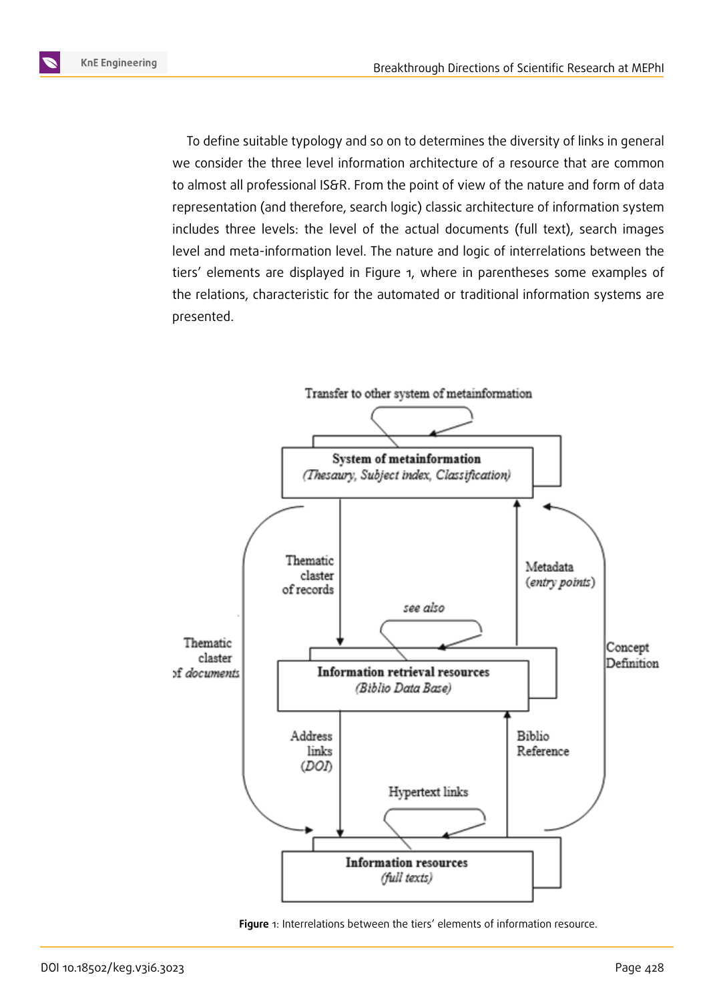To define suitable typology and so on to determines the diversity of links in general we consider the three level information architecture of a resource that are common to almost all professional IS&R. From the point of view of the nature and form of data representation (and therefore, search logic) classic architecture of information system includes three levels: the level of the actual documents (full text), search images level and meta-information level. The nature and logic of interrelations between the tiers' elements are displayed in Figure 1, where in parentheses some examples of the relations, characteristic for the automated or traditional information systems are presented.



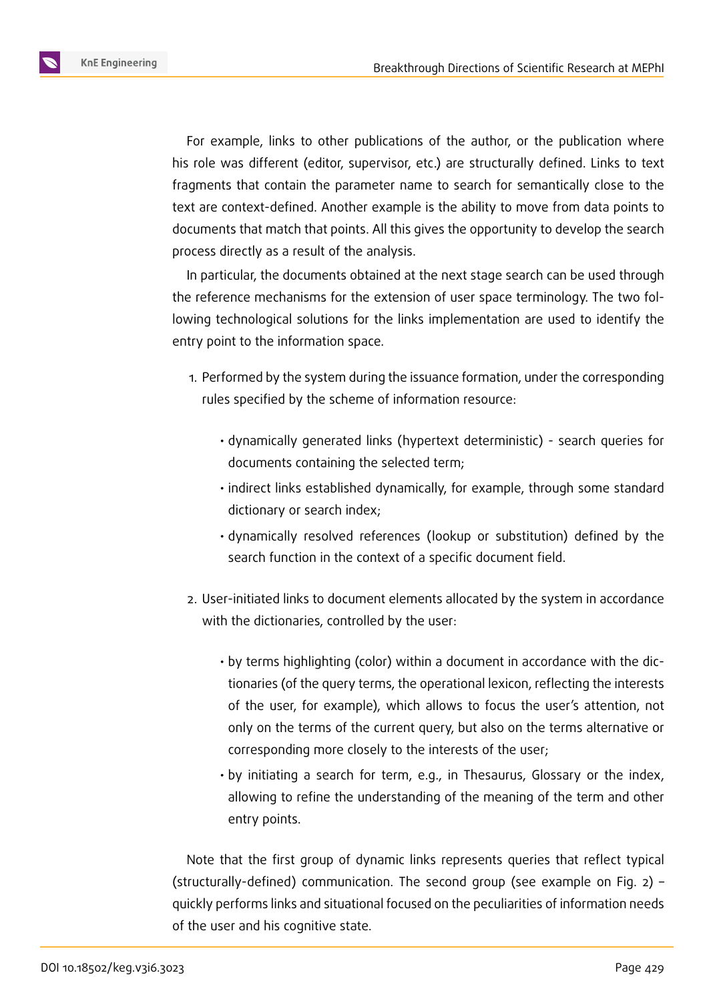

For example, links to other publications of the author, or the publication where his role was different (editor, supervisor, etc.) are structurally defined. Links to text fragments that contain the parameter name to search for semantically close to the text are context-defined. Another example is the ability to move from data points to documents that match that points. All this gives the opportunity to develop the search process directly as a result of the analysis.

In particular, the documents obtained at the next stage search can be used through the reference mechanisms for the extension of user space terminology. The two following technological solutions for the links implementation are used to identify the entry point to the information space.

- 1. Performed by the system during the issuance formation, under the corresponding rules specified by the scheme of information resource:
	- dynamically generated links (hypertext deterministic) search queries for documents containing the selected term;
	- indirect links established dynamically, for example, through some standard dictionary or search index;
	- dynamically resolved references (lookup or substitution) defined by the search function in the context of a specific document field.
- 2. User-initiated links to document elements allocated by the system in accordance with the dictionaries, controlled by the user:
	- by terms highlighting (color) within a document in accordance with the dictionaries (of the query terms, the operational lexicon, reflecting the interests of the user, for example), which allows to focus the user's attention, not only on the terms of the current query, but also on the terms alternative or corresponding more closely to the interests of the user;
	- by initiating a search for term, e.g., in Thesaurus, Glossary or the index, allowing to refine the understanding of the meaning of the term and other entry points.

Note that the first group of dynamic links represents queries that reflect typical (structurally-defined) communication. The second group (see example on Fig. 2) – quickly performs links and situational focused on the peculiarities of information needs of the user and his cognitive state.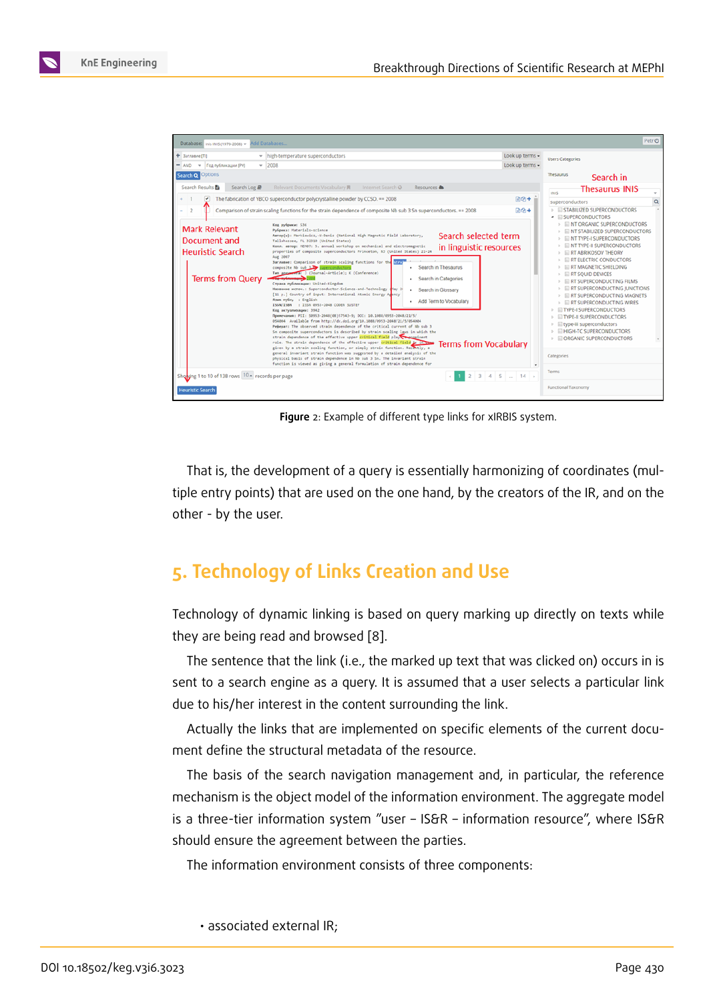

**Figure** 2: Example of different type links for xIRBIS system.

That is, the development of a query is essentially harmonizing of coordinates (multiple entry points) that are used on the one hand, by the creators of the IR, and on the other - by the user.

### **5. Technology of Links Creation and Use**

Technology of dynamic linking is based on query marking up directly on texts while they are being read and browsed [8].

The sentence that the link (i.e., the marked up text that was clicked on) occurs in is sent to a search engine as a query. It is assumed that a user selects a particular link due to his/her interest in the cont[en](#page-11-7)t surrounding the link.

Actually the links that are implemented on specific elements of the current document define the structural metadata of the resource.

The basis of the search navigation management and, in particular, the reference mechanism is the object model of the information environment. The aggregate model is a three-tier information system "user – IS&R – information resource", where IS&R should ensure the agreement between the parties.

The information environment consists of three components:

• associated external IR;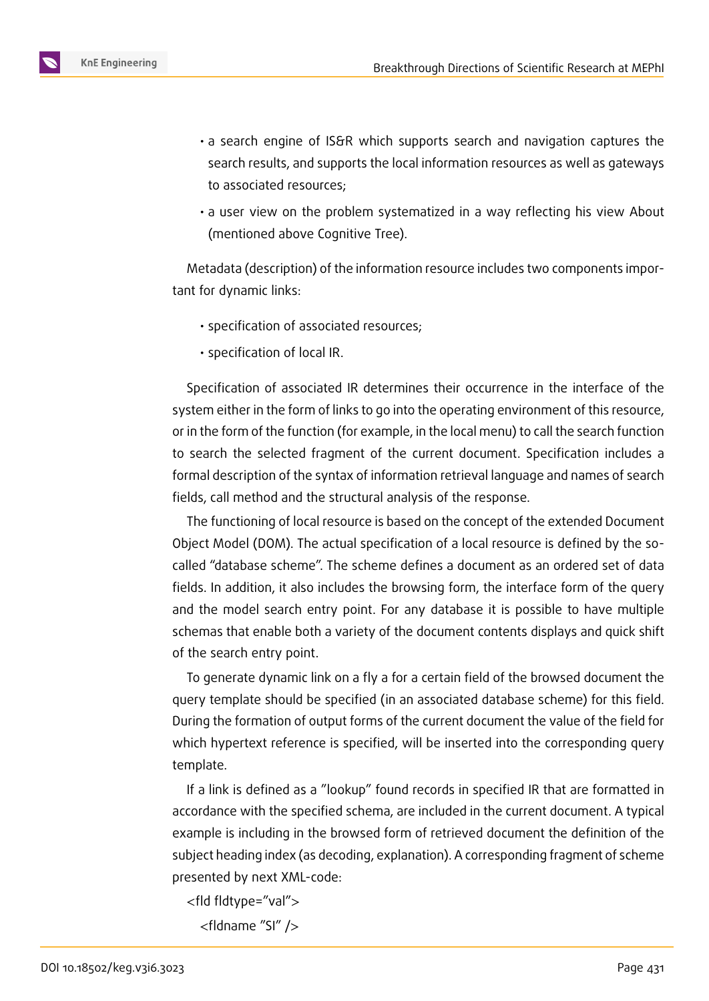

- a search engine of IS&R which supports search and navigation captures the search results, and supports the local information resources as well as gateways to associated resources;
- a user view on the problem systematized in a way reflecting his view About (mentioned above Cognitive Tree).

Metadata (description) of the information resource includes two components important for dynamic links:

- specification of associated resources;
- specification of local IR.

Specification of associated IR determines their occurrence in the interface of the system either in the form of links to go into the operating environment of this resource, or in the form of the function (for example, in the local menu) to call the search function to search the selected fragment of the current document. Specification includes a formal description of the syntax of information retrieval language and names of search fields, call method and the structural analysis of the response.

The functioning of local resource is based on the concept of the extended Document Object Model (DOM). The actual specification of a local resource is defined by the socalled "database scheme". The scheme defines a document as an ordered set of data fields. In addition, it also includes the browsing form, the interface form of the query and the model search entry point. For any database it is possible to have multiple schemas that enable both a variety of the document contents displays and quick shift of the search entry point.

To generate dynamic link on a fly a for a certain field of the browsed document the query template should be specified (in an associated database scheme) for this field. During the formation of output forms of the current document the value of the field for which hypertext reference is specified, will be inserted into the corresponding query template.

If a link is defined as a "lookup" found records in specified IR that are formatted in accordance with the specified schema, are included in the current document. A typical example is including in the browsed form of retrieved document the definition of the subject heading index (as decoding, explanation). A corresponding fragment of scheme presented by next XML-code:

```
<fld fldtype="val">
```
<fldname "SI" />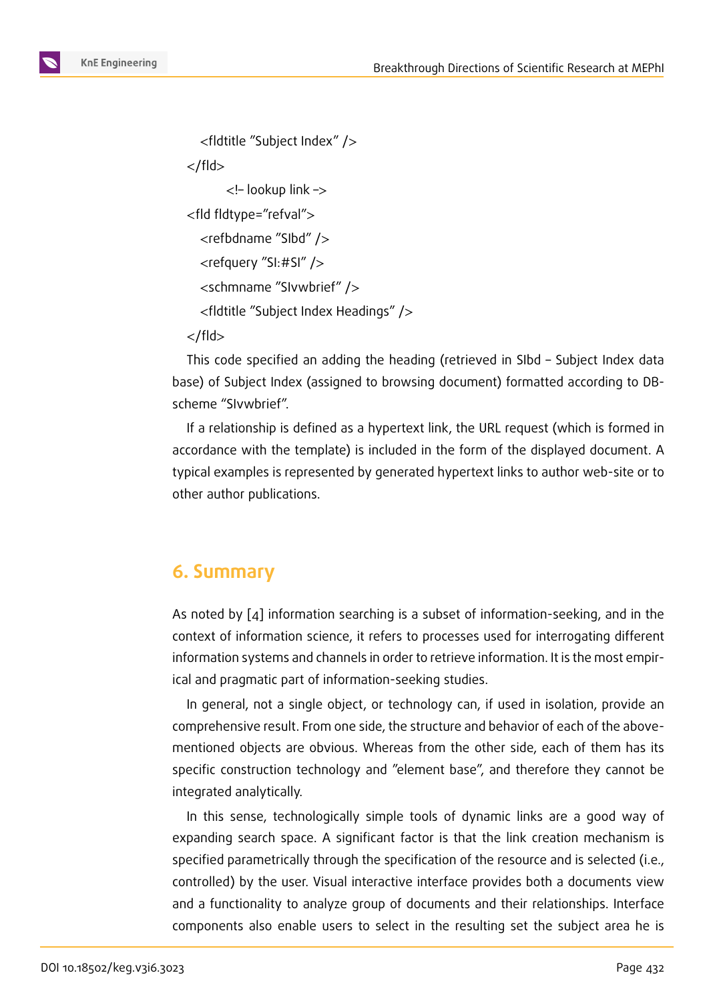```
<fldtitle "Subject Index" />
</fld>
      <!– lookup link –>
<fld fldtype="refval">
  <refbdname "SIbd" />
  <refquery "SI:#SI" />
  <schmname "SIvwbrief" />
  <fldtitle "Subject Index Headings" />
</fld>
```
This code specified an adding the heading (retrieved in SIbd – Subject Index data base) of Subject Index (assigned to browsing document) formatted according to DBscheme "SIvwbrief".

If a relationship is defined as a hypertext link, the URL request (which is formed in accordance with the template) is included in the form of the displayed document. A typical examples is represented by generated hypertext links to author web-site or to other author publications.

### **6. Summary**

As noted by [4] information searching is a subset of information-seeking, and in the context of information science, it refers to processes used for interrogating different information systems and channels in order to retrieve information. It is the most empirical and prag[ma](#page-11-3)tic part of information-seeking studies.

In general, not a single object, or technology can, if used in isolation, provide an comprehensive result. From one side, the structure and behavior of each of the abovementioned objects are obvious. Whereas from the other side, each of them has its specific construction technology and "element base", and therefore they cannot be integrated analytically.

In this sense, technologically simple tools of dynamic links are a good way of expanding search space. A significant factor is that the link creation mechanism is specified parametrically through the specification of the resource and is selected (i.e., controlled) by the user. Visual interactive interface provides both a documents view and a functionality to analyze group of documents and their relationships. Interface components also enable users to select in the resulting set the subject area he is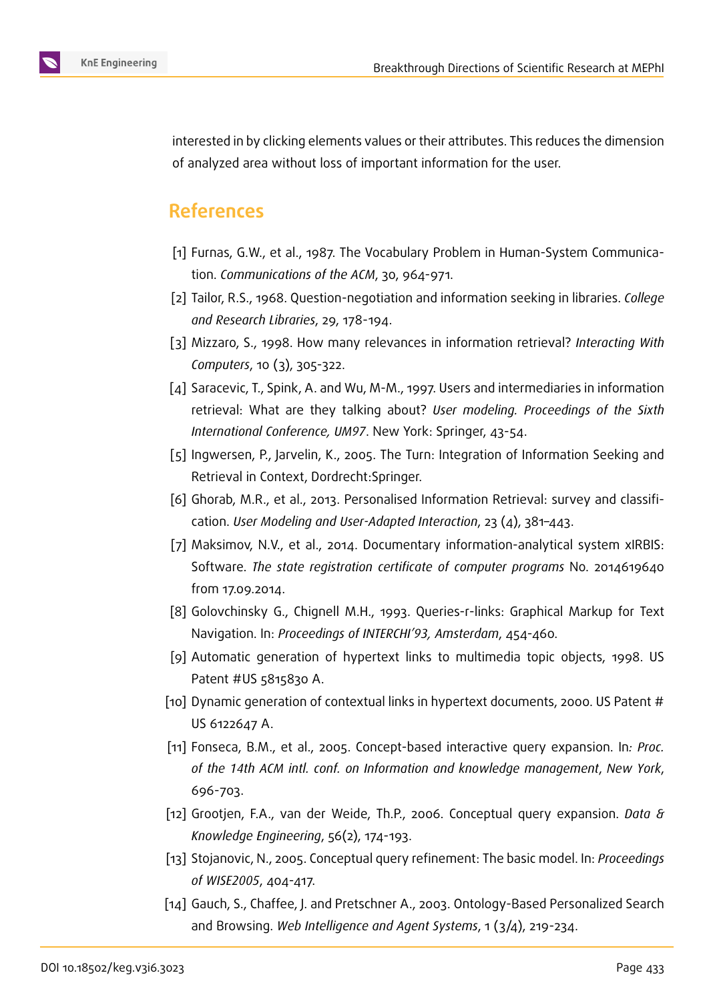

interested in by clicking elements values or their attributes. This reduces the dimension of analyzed area without loss of important information for the user.

### **References**

- <span id="page-11-0"></span>[1] Furnas, G.W., et al., 1987. The Vocabulary Problem in Human-System Communication. *Communications of the ACM*, 30, 964-971.
- <span id="page-11-1"></span>[2] Tailor, R.S., 1968. Question-negotiation and information seeking in libraries. *College and Research Libraries*, 29, 178-194.
- <span id="page-11-2"></span>[3] Mizzaro, S., 1998. How many relevances in information retrieval? *Interacting With Computers*, 10 (3), 305-322.
- <span id="page-11-3"></span>[4] Saracevic, T., Spink, A. and Wu, M-M., 1997. Users and intermediaries in information retrieval: What are they talking about? *User modeling. Proceedings of the Sixth International Conference, UM97*. New York: Springer, 43-54.
- <span id="page-11-4"></span>[5] Ingwersen, P., Jarvelin, K., 2005. The Turn: Integration of Information Seeking and Retrieval in Context, Dordrecht:Springer.
- <span id="page-11-5"></span>[6] Ghorab, M.R., et al., 2013. Personalised Information Retrieval: survey and classification. *User Modeling and User-Adapted Interaction*, 23 (4), 381–443.
- <span id="page-11-6"></span>[7] Maksimov, N.V., et al., 2014. Documentary information-analytical system xIRBIS: Software. *The state registration certificate of computer programs* No. 2014619640 from 17.09.2014.
- <span id="page-11-7"></span>[8] Golovchinsky G., Chignell M.H., 1993. Queries-r-links: Graphical Markup for Text Navigation. In: *Proceedings of INTERCHI'93, Amsterdam*, 454-460.
- <span id="page-11-8"></span>[9] Automatic generation of hypertext links to multimedia topic objects, 1998. US Patent #US 5815830 A.
- <span id="page-11-9"></span>[10] Dynamic generation of contextual links in hypertext documents, 2000. US Patent # US 6122647 A.
- <span id="page-11-10"></span>[11] Fonseca, B.M., et al., 2005. Concept-based interactive query expansion. In*: Proc. of the 14th ACM intl. conf. on Information and knowledge management*, *New York*, 696-703.
- [12] Grootjen, F.A., van der Weide, Th.P., 2006. Conceptual query expansion. *Data & Knowledge Engineering*, 56(2), 174-193.
- <span id="page-11-11"></span>[13] Stojanovic, N., 2005. Conceptual query refinement: The basic model. In: *Proceedings of WISE2005*, 404-417.
- <span id="page-11-12"></span>[14] Gauch, S., Chaffee, J. and Pretschner A., 2003. Ontology-Based Personalized Search and Browsing. *Web Intelligence and Agent Systems*, 1 (3/4), 219-234.